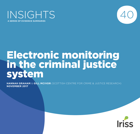



# Electronic monitoring in the criminal justice system

**HANNAH GRAHAM** & **GILL MCIVOR** (SCOTTISH CENTRE FOR CRIME & JUSTICE RESEARCH) **November 2017**

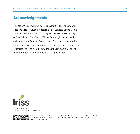## Acknowledgements

This *Insight* was reviewed by Helen Allbutt (NHS Education for Scotland), Neil MacLeod (Scottish Social Services Council), Tom Jackson (Community Justice Glasgow) Mike Nellis (University of Strathclyde), Ciara Webb (City of Edinburgh Council) and colleagues from Scottish Government. Comments represent the views of reviewers and do not necessarily represent those of their organisations. Iriss would like to thank the reviewers for taking the time to reflect and comment on this publication.



improving lives through knowledge, evidence and innovation



This work is licensed under the Creative Commons Attribution-Non Commercial-Share Alike 2.5 UK: Scotland Licence. To view a copy of this licence, visit <https://creativecommons.org/licenses/by-nc-sa/2.5/scotland/> Copyright © November 2017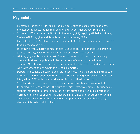## Key points

- Electronic Monitoring (EM) seeks variously to reduce the use of imprisonment, monitor compliance, reduce reoffending and support desistance from crime
- There are different types of EM: Radio Frequency (RF) tagging, Global Positioning System (GPS) tagging and Remote Alcohol Monitoring (RAM)
- First introduced in Scotland on a pilot basis in 1998, EM currently operates using RF tagging technology only
- RF tagging with a curfew is most typically used to restrict a monitored person to (or occasionally, away from) a place for a prescribed period of time
- GPS tagging can be used to create 'exclusion zones' and, more controversially, offers authorities the potential to track the wearer's location in real time
- Type of EM technology is only one consideration for effective use and impact how, why, with whom and by whom it is used also matters
- Debates in Scotland on current and future uses focus on: the potential introduction of GPS tags and alcohol monitoring alongside RF tagging and curfews; and better integration of EM with social work supervision and third sector support
- Social workers have a key role to play in ensuring that they are aware of EM technologies and can harness their use to achieve effective community supervision, support integration, promote desistance from crime and offer public protection
- Current and new uses should stay anchored in an ethos of proportionality, with an awareness of EM's strengths, limitations and potential misuses to balance rights, risks and interests of all involved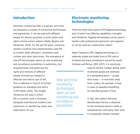## Introduction

Electronic monitoring (EM) is a generic term that encompasses a number of monitoring technologies and approaches. It can be used with different people for diverse purposes in youth justice and adult criminal justice systems (Nellis, Beyens and Kampinski, 2013). For the last 30 years, numerous western countries have predominantly used EM to monitor adult offenders' compliance with curfews and other restrictions. The emergence of new EM technologies opens up new monitoring and surveillance possibilities to authorities, but proportionality and balancing the

rights and interests of different people involved are integral to effective and ethical uses of EM. This is reflected in Council of Europe guidance on standards and ethics in EM (Nellis, 2015). This *Insight* introduces the ways in which EM is currently used in Scotland, alongside international evidence and experience, to identify key issues and implications for use.

*New electronic monitoring technologies open up new monitoring and surveillance* 

*possibilities*

## Electronic monitoring technologies

There are three main types of EM tagging technology, each of which has differing capabilities, strengths and limitations. Tagging technologies can be used in tandem with professional supervision and supports, or can be used as a 'stand-alone' option.

Radio Frequency (RF) tagging technology is a relatively simple and stable form of EM used in Scotland and many jurisdictions around the world (Graham and McIvor, 2015, 2017). It is commonly

> used to monitor curfews during which monitored people are restricted to a designated place — usually their home — or restricted 'away from' a place, for example, a shop in cases of repeated shoplifting, for specified periods of time.

A 'tag', also called a Personal Identification Device, is attached to the monitored person's ankle or, somewhat less commonly, their wrist. It incorporates tamper-resistant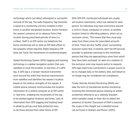technology which can detect attempted or successful removal of the tag. The radio frequency tag transmits a signal to a monitoring unit box installed in their home or another designated location, which monitors the wearer's presence at (or absence from) that location during prescribed periods of time (i.e. curfew). Staff in an EM centre can telephone the home monitoring unit or send an EM field officer to the property where required. Radio frequency EM does not 'track' the movements of monitored people.

Global Positioning System (GPS) tagging and tracking technology is a global navigation system that uses satellites to track the location, in real time, of a GPS tag. A GPS tag is a tamper-resistant transmitter worn around the ankle that receives transmissions from satellites and identifies the wearer's location based on the relative strengths of the signals. A mobile phone network communicates the location information to a central computer at an EM centre in 'real time', enabling the movements of the tag to be plotted against locations and times. Uses of information from GPS tagging and tracking need to abide by privacy and data protection laws, as do those derived from other forms of EM.

With GPS EM, monitored individuals are usually set location restrictions, which are tailored to each person. An individual may have restrictions around a victim's house, workplace or school, or another location linked to offending patterns, which act as 'exclusion zones'. This means that they must stay away from these zones for prescribed amounts of time. There are also 'buffer zones' surrounding exclusion zones that, if entered, alert the EM services provider to generate warnings to the monitored person that they are approaching a zone from which they have been excluded. An alert of a violation of the exclusion zone may require police to respond. GPS tags need to be connected to a power source to be re-charged daily or the battery dies, and failure to re-charge may be considered non-compliance.

Finally, Remote Alcohol Monitoring (RAM) can take the form of transdermal alcohol monitoring involving the monitored person wearing an anklet, sometimes referred to as a 'sobriety bracelet', which samples sweat on their skin to detect the presence of alcohol. Discussion of RAM is beyond the scope of this *Insight*, but a detailed review can be found in Graham and McIvor (2015).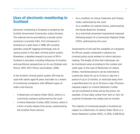## Uses of electronic monitoring in Scotland

Electronic monitoring in Scotland is funded by the Scottish Government Community Justice Division. The national service provided by a private sector contractor (currently G4S). First introduced in Scotland on a pilot basis in 1998, EM currently operates using RF tagging technology only at various points in the adult criminal justice system. Elsewhere, a detailed research account of EM in Scotland is provided, including influences of localism and practitioner perspectives on its use (Graham and McIvor, 2015, 2017; McIvor and Graham, 2016).

In the Scottish criminal justice system, EM may be used with adults aged 16 years and older as a means of monitoring compliance with different types of orders and licences:

- A Restriction of Liberty Order (RLO), which is a community sentence authorised by the court
- A Home Detention Curfew (HDC) licence, which is a form of early release from prison, authorised by the Scottish Prison Service
- As a condition of a Drug Treatment and Testing Order, authorised by the court
- As a condition of a parole licence, authorised by the Parole Board for Scotland
- As a restricted movement requirement imposed following breach of a Community Payback Order (CPO), authorised by the court

Assessments of risk and the suitability of a property for EM are usually conducted in advance by criminal justice social workers to inform decisionmaking. The length of time that individuals can be monitored varies according to the context and order type. In the case of Restriction of Liberty Orders, monitored persons can be restricted to a particular place for up to 12 hours a day for a period of up to 12 months, or restricted away from a specified place for up to 24 hours a day. Prisoners released subject to a Home Detention Curfew can be monitored at times set by the prison, for example, 12 hour daily curfew from 7pm to 7am, for a period of between two weeks and six months.

The majority of monitored people in Scotland are subject to a Restriction of Liberty Order (RLO) or a Home Detention Curfew (HDC). In 2016, 2,408 RLOs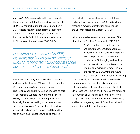and 1,445 HDCs were made, with men comprising the majority of both the former (85%) and the latter (89%). By contrast, during the same period only 20 restricted movement requirements following a breach of a Community Payback Order were imposed, while 28 individuals were made subject to EM as a condition of parole (G4S, 2017).

*First introduced in Scotland in 1998, electronic monitoring currently operates using RF tagging technology only at various points in the adult criminal justice system*

Electronic monitoring is also available to use with children under the age of 16 years old through the Children's Hearings System, where a movement restriction condition (MRC) can be imposed as part of an Intensive Support and Monitoring Service (ISMS) order. Electronic monitoring of children is usually framed as seeking to reduce the use of secure care by using EM as an alternative within a support package (see Simpson and Dyer, 2016 for an overview). In Scotland, tagging children

has met with some resistance from practitioners and is not widespread in use. In 2016, 20 children received a movement restriction condition via the Children's Hearings System (G4S, 2017).

In looking to advance and expand the uses of EM of adults, the Scottish Government (2013, 2016a,

> 2017) has initiated consultation papers and practitioner consultation forums, established an EM expert working group to make specific recommendations, conducted a GPS tagging and tracking technology trial, and commissioned an international evidence review (Graham and McIvor, 2015). Current and future

uses of EM are framed in terms of seeking to more widely and creatively reduce Scotland's comparatively high use of imprisonment, and achieve positive outcomes for offenders. Scottish EM discussions focus on two key areas: the potential introduction of GPS tags and alcohol monitoring alongside existing radio frequency EM and curfews; and better integrating uses of EM with social work supervision and third sector support.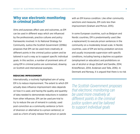### Why use electronic monitoring in criminal justice?

Aims and purposes affect uses and outcomes, as EM can be used in different ways which are influenced by the professionals, practice cultures and policy frameworks involved. In its National Strategy for Community Justice the Scottish Government (2016b) proposes that EM can be used more creatively at different points in the criminal justice system and be tailored in such a way as to support specific individual goals. In this section, a number of prominent aims of using EM in criminal justice are summarised, drawing on Scottish and international examples.

#### REDUCING IMPRISONMENT

Internationally, a routinely highlighted aim of using EM is to reduce imprisonment. The extent to which EM actually does influence imprisonment rates depends on how it is used, and having the quality and quantity of data needed to demonstrate reductions in isolation from other influences. EM can be used pre-trial to try to reduce the use of remand in custody; used post-conviction as a community sentence (a form of diversion or alternative to a prison sentence); or used as a form of early release from prison or parole

with an EM licence condition. Like other community sanctions and measures, EM costs less than imprisonment (Graham and McIvor, 2015).

In some European countries, such as Belgium and Nordic countries, EM is predominantly used (like a replacement) to execute prison sentences in the community on a moderately broad scale. In Nordic countries, uses of EM are led by probation services and usually incorporate supervision with specific conditions, including having a daytime occupation (employment or education) and prohibitions on use of alcohol or drugs (Esdorf and Sandlie, 2014; Kristoffersen, 2014; Andersen and Telle, 2016). In Denmark and Norway, it is argued that there is no risk

*The Scottish Government proposes that electronic monitoring can be used more creatively at different points in the criminal justice system and be tailored to support individual goals*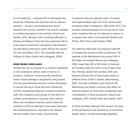of 'net-widening' — imposing EM on individuals who would not otherwise have received such an onerous sanction — because monitored persons would otherwise be in prison, and EM is not directly available as a sentencing option to the judiciary (Esdorf and Sandlie, 2014). Research with monitored offenders in Norway and Belgium finds that they experience EM as a less severe punishment compared to imprisonment, but that liberty-restrictions within EM are still 'painful' (De Vos and Gilbert, 2017). This resonates with the findings of others (Martin and colleagues, 2009).

#### MONITORING COMPLIANCE

Another key aim of using EM is to monitor compliance or non-compliance with an order or licence. In Scotland, 'violations' of electronically monitored orders include damage to equipment; being absent from the specified place during a curfew; attempting to remove the tag or move the home monitoring unit box; threatening behaviour towards monitoring staff; time violations (arriving late for the start of a curfew); and entering an 'exclusion zone' location. When non-compliance reaches a point where the conditions of EM are deemed to have been breached, the monitored person is reported to the relevant decision-maker (court, prison, parole board).

Completion rates are relatively high in Scotland, with approximately eight out of ten electronically monitored orders completed in 2016 (G4S, 2017). This includes monitored people who accrue one or more minor violations that are not deemed so serious as to require their order to be breached (Graham and McIvor, 2015; McIvor and Graham, 2016).

The relatively high levels of compliance with EM in Scotland are echoed in other jurisdictions. For example, in the Netherlands only around 14% of EM orders are revoked (Boone and colleagues, 2016), fewer than 10% of EM orders in Denmark are revoked, while the same is true of fewer than 5% in Norway (Esdorf and Sandlie, 2014) and between 6% and 10% of those made subject to different forms of EM in Sweden (Wennerberg, 2013). The high completion rates found in the Netherlands and Nordic countries may reflect an emphasis placed on community reintegration and 'normalisation' in these jurisdictions (Boone and colleagues, 2017; Scharff Smith and Ugelvik, 2017).

As there has been relatively little research focusing on the perspectives and experiences of monitored people, there is limited knowledge regarding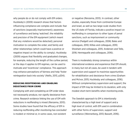why people do or do not comply with EM orders. Hucklesby's (2009) research shows that factors influencing compliance are complex and include: fear of sanctions (especially imprisonment); awareness of surveillance and being 'watched'; the reliability and precision of the EM equipment (which meant that any violations would be detected); personal motivation to complete the order; and family and other relationships (which could have a positive or negative impact on the ability to comply). Hucklesby (2009) argues that flexibility and graduated changes, for example, reducing the length of the curfew period, or the days it applies to EM regimes, can be used to motivate and 'incentivise' compliance. This approach may enhance perceptions of fairness and help 'foster reintegration back into society' (Nellis, 2013, p204).

#### REDUCING REOFFENDING AND ENABLING DESISTANCE FROM CRIME

Complying with and completing an EM order does not necessarily produce, nor signify desistance from crime. Research evidence linking the use of EM with reductions in reoffending is mixed (Renzema, 2013). Some studies have found that the efficacy of EM in reducing reoffending *after monitoring has concluded* is modest or minimal or, in some cases, non-existent

or negative (Renzema, 2013). In contrast, other studies, especially those from continental Europe and Israel, as well as two large-scale studies from the US state of Florida, indicate a positive impact on reoffending in comparison to other types of penal sanctions, such as imprisonment or community service (Padgett and colleagues, 2006; Bales and colleagues, 2010; Killias and colleagues, 2010; Shosham and colleagues, 2015; Andersen and Telle, 2016; Henneguelle and colleagues, 2016).

There is moderately strong consensus within international evidence and experience that EM should, in many but not all cases, be used in tandem with supervision and support to maximise opportunities for rehabilitation and desistance from crime (Graham and McIvor, 2015; Hucklesby and colleagues, 2016). Without complementary supervision and support, the impact of EM may be limited to its duration, with only modest short-term benefits when monitoring ends.

The Swedish approach to EM is intentionally characterised by a high level of support and a high level of control, with EM used in combination with other forms of supervision, support and surveillance (Wennerberg, 2013; Bassett, 2016).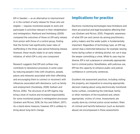EM in Sweden — as an alternative to imprisonment or in the context of early release for those who are eligible — requires monitored people to work and participate in activities relevant to their rehabilitation and reintegration. Marklund and Holmberg (2009) compared the outcomes of those on EM early release from prison with those of a control group, finding that the former had significantly lower rates of reoffending in the three year period following release. However, these results relate to an early release initiative, of which EM is only one component.

Research suggests that EM and curfews may contribute to desistance processes *in some cases* by reducing people's links with situations, people, places and networks associated with their offending and encouraging them to connect or reconnect with influences associated with desistance, such as family and employment (Hucklesby, 2008; Graham and McIvor, 2016). The structure of an EM regime may bring a level of routine and increased responsibility for some monitored people in reintegration processes (Graham and McIvor, 2016; De Vos and Gilbert, 2017). As a stand-alone measure, however, EM is unlikely to bring about long-term change.

## Implications for practice

Electronic monitoring technologies have limitations and there are practical and legal boundaries affecting their use (Graham and McIvor, 2015). Pragmatic awareness of what EM can and cannot do among practitioners, policy makers and the wider public is fundamentally important. Regardless of technology type, an EM tag cannot stop a restricted behaviour, for example, leaving home during curfew or drinking alcohol, nor can it stop the wearer committing a crime. While its uses may be diverse, EM is not a panacea or universally appropriate tool in criminal justice. Nonetheless, with judicious use, EM has the capacity to enhance public and judicial confidence in community sentences.

Excellent risk assessment practices, including visiting the property, are imperative to ensuring appropriate decision-making about using electronically monitored home curfews, considering the individual, family or other members of the household and, where appropriate, victims of crime. Assessments are usually done by criminal justice social workers. Risks of criminal and harmful behaviour (such as domestic abuse) are encompassed in these assessments.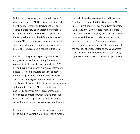Not enough is known about the implications of diversity in uses of EM. There is no one approach fits all policy (Graham and McIvor, 2015). For example, there may be gendered differences in experiences of EM, and some of the 'pains' of EM as punishment may be different for men and women. EM can also be used in gender-responsive ways or as a feature of gender-responsive service provision. More research is needed in this area.

Finally, the prospect of expanding uses of EM carry workload and resource implications for community justice workforces. Introducing GPS EM and using it with specific groups of offenders necessitates commensurate capacity to actively monitor large volumes of data, and alert police and other criminal justice professionals to respond swiftly to violations in high risk cases. Internationally well-regarded uses of EM in the Netherlands and Nordic countries are well resourced, public service-led approaches which involve probation officers devoting significant amounts of time to supervision and support of each monitored person.

Scotland has the opportunity to advance its use of EM to build on existing simple and relatively stable uses, which can be more creative and innovative (Scottish Government, 2016a; Graham and McIvor, 2017). Current and new uses should stay anchored in an ethos of valuing proportionality, pragmatic awareness of EM's strengths, limitations and potential misuses, and the need to balance the rights and interests of all involved. Social workers have a key role to play in ensuring that they are aware of the capacity of EM technologies and can harness them to increase the effectiveness of community supervision and achieve other relevant penal aims.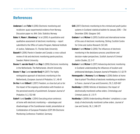## References

- **Andersen** S and **Telle** K (2016) Electronic monitoring and recidivism: quasi-experimental evidence from Norway. Discussion paper no. 844. Oslo: Statistics Norway
- **Bales** W, **Mann** K, **Blomberg** T et al (2010) A quantitative and qualitative assessment of electronic monitoring — report submitted to the Office of Justice Program, National Institute of Justice, Tallahassee. FL: Florida State University
- **Bassett** R (2016) Parole in Sweden and Canada: a cross-cultural review of risk and electronic monitoring parole practices. Sweden: Malmö University
- **Boone** M, **van der Kooij** M and **Rap** S (2016) Electronic monitoring in the Netherlands. The Netherlands. Utrecht University
- **Boone** M, **Rap** S and **van der Kooij** M (2017) The highly reintegrative approach of electronic monitoring in the Netherlands, *European Journal of Probation*, 9, 1, 46-61
- **De Vos** H and **Gilbert** E (2017) Freedom, so close but yet so far: the impact of the ongoing confrontation with freedom on the perceived severity of punishment. *European Journal of Probation*, 9, 2, 132-148
- **Esdorf** A and **Sandlie** J (2014) Executing prison sentences at home with electronic monitoring — advantages and disadvantages of the Scandinavian model, presentation at Confederation of European Probation (CEP) 9th Electronic Monitoring Conference: Frankfurt, Germany
- **G4S** (2017) Electronic monitoring to the criminal and youth justice systems in Scotland: statistical bulletin 1st January 2016 — 31st December 2016. Glasgow: G4S
- **Graham** H and **McIvor** G (2015) Scottish and international review of the uses of electronic monitoring. Stirling: Scottish Centre for Crime and Justice Research (SCCJR)
- **Graham** H and **McIvor** G (2016) The influences of electronic monitoring in the desistance process: practitioner and decision-maker perspectives. *Scottish Journal of Criminal Justice Studies*, 22, 5-17
- **Graham** H and **McIvor** G (2017) Advancing electronic monitoring in Scotland: understanding the influences of localism and professional ideologies, *European Journal of Probation*, 9, 1, 62-79
- **Henneguelle** A, **Monnery** B and **Kensey** A (2016) Better at home than in prison? The effects of electronic monitoring on recidivism in France. *Journal of Law and Economics*, 59, 3, 629-667
- **Hucklesby** A (2008) Vehicles of desistance: the impact of electronically monitored curfew orders. *Criminology and Criminal Justice*, 8, 1, 51-71
- **Hucklesby** A (2009) Understanding offenders' compliance: a case study of electronically monitored curfew orders. *Journal of Law and Society*, 36, 2, 248-271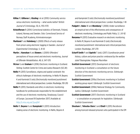- **Killias** M, **Gillieron** G, **Kissling** I et al (2010) Community service versus electronic monitoring — what works better? *British Journal of Criminology*, 50, 6, 1155-1170
- **Kristoffersen** R (2014) Correctional statistics of Denmark, Finland, Iceland, Norway and Sweden. Oslo: Correctional Service of Norway Staff Academy, Kriminalomsorgen
- **Marklund** F and **Holmberg** S (2009) Effects of early release from prison using electronic tagging in Sweden. *Journal of Experimental Criminology*, 5, 41-61
- **Martin** J, **Hanrahan** K and **Bowers** J (2009) Offenders' perceptions of house arrest and electronic monitoring. *Journal of Offender Rehabilitation*, 48, 6, 547-570
- **McIvor** G and **Graham** H (2016) Electronic monitoring in Scotland. Stirling: Scottish Centre for Crime and Justice Research (SCCJR)
- **Nellis** M (2013) Surveillance, stigma and spatial constraint: the ethical challenges of electronic monitoring. In Nellis M, Beyens K and Kaminski D (eds) *Electronically monitored punishment: international and critical perspectives*. London: Routledge, 193-210
- **Nellis** M (2015) Standards and ethics in electronic monitoring: handbook for professionals responsible for the establishment and the use of electronic monitoring. Strasbourg: Council of Europe. [accessed 18 September 2017] Available at: <http://s.iriss.org.uk/2yuq5hf>
- **Nellis** M, **Beyens** K and **Kampinski** D (2013) Introduction: making sense of electronic monitoring. In Nellis, Beyens K

and Kampinski D (eds) *Electronically monitored punishment: international and critical perspectives*. London: Routledge, 1-18

- **Padgett** K, **Bales** W and **Blomberg** T (2006) Under surveillance: an empirical test of the effectiveness and consequences of electronic monitoring. *Criminology and Public Policy*, 5, 1, 61-92
- **Renzema** M (2013) Evaluative research on electronic monitoring. In Nellis M, Beyens K and Kaminski D (eds) *Electronically monitored punishment: international and critical perspectives*. London: Routledge, 247-270
- **Scharff Smith** P and **Ugelvik** T (eds) (2017) *Scandinavian penal history, culture and prison practice: embraced by the welfare state?* Basingstoke: Palgrave Macmillan
- **Scottish Government** (2013) Development of electronic monitoring in Scotland: a consultation on the future direction of the electronic monitoring service. Edinburgh: Scottish Government
- **Scottish Government** (2016a) Electronic monitoring in Scotland working group report. Edinburgh: Scottish Government
- **Scottish Government** (2016b) National Strategy for Community Justice. Edinburgh: Scottish Government
- **Scottish Government** (2017) Electronic monitoring in Scotland — a consultation on proposals for legislation. Edinburgh: Scottish Government
- **Shosham** E, **Yehosha-Stern** S and **Efodi** R (2015) Recidivism among licenced released prisoners who participated in the EM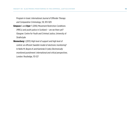Program in Israel. *International Journal of Offender Therapy and Comparative Criminology*, 59, 913-929

- **Simpson** S and **Dyer** F (2016) Movement Restriction Conditions (MRCs) and youth justice in Scotland — are we there yet? Glasgow: Centre for Youth and Criminal Justice, University of **Strathclyde**
- **Wennerberg** I (2013) High level of support and high level of control: an efficient Swedish model of electronic monitoring? In Nellis M, Beyens K and Kaminski D (eds) *Electronically monitored punishment: international and critical perspectives*. London: Routledge, 113-127